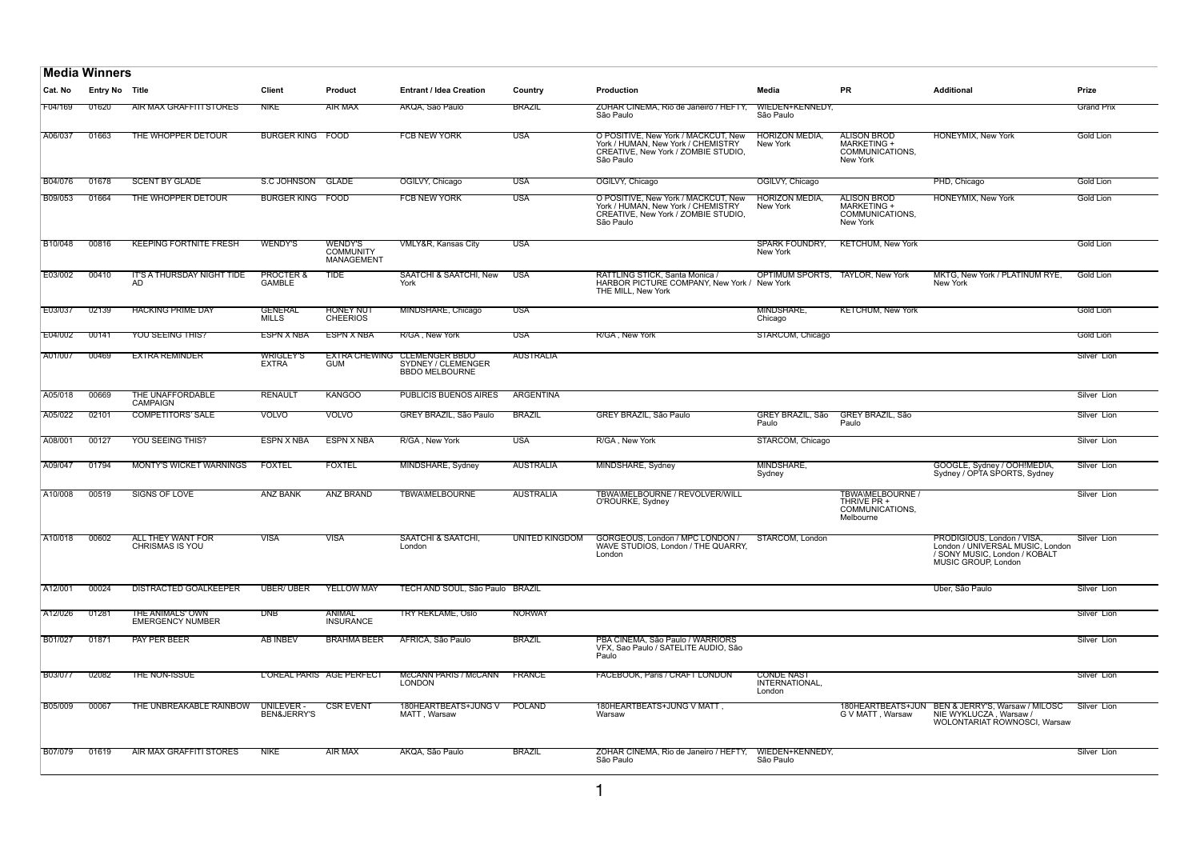|                | <b>Media Winners</b>  |                                             |                                       |                                                  |                                                                      |                       |                                                                                                                               |                                               |                                                                        |                                                                                                                        |                   |
|----------------|-----------------------|---------------------------------------------|---------------------------------------|--------------------------------------------------|----------------------------------------------------------------------|-----------------------|-------------------------------------------------------------------------------------------------------------------------------|-----------------------------------------------|------------------------------------------------------------------------|------------------------------------------------------------------------------------------------------------------------|-------------------|
| Cat. No        | <b>Entry No Title</b> |                                             | <b>Client</b>                         | <b>Product</b>                                   | <b>Entrant / Idea Creation</b>                                       | Country               | Production                                                                                                                    | Media                                         | <b>PR</b>                                                              | <b>Additional</b>                                                                                                      | Prize             |
| F04/169        | 01620                 | AIR MAX GRAFFITI STORES                     | <b>NIKE</b>                           | AIR MAX                                          | AKQA, São Paulo                                                      | <b>BRAZIL</b>         | ZOHAR CINEMA, Rio de Janeiro / HEFTY,<br>São Paulo                                                                            | WIEDEN+KENNEDY,<br>São Paulo                  |                                                                        |                                                                                                                        | <b>Grand Prix</b> |
| A06/037        | 01663                 | THE WHOPPER DETOUR                          | <b>BURGER KING FOOD</b>               |                                                  | <b>FCB NEW YORK</b>                                                  | <b>USA</b>            | O POSITIVE, New York / MACKCUT, New<br>York / HUMAN, New York / CHEMISTRY<br>CREATIVE, New York / ZOMBIE STUDIO,<br>São Paulo | <b>HORIZON MEDIA.</b><br>New York             | <b>ALISON BROD</b><br>MARKETING +<br>COMMUNICATIONS,<br>New York       | <b>HONEYMIX, New York</b>                                                                                              | Gold Lion         |
| <b>B04/076</b> | 01678                 | <b>SCENT BY GLADE</b>                       | S.C JOHNSON GLADE                     |                                                  | OGILVY, Chicago                                                      | <b>USA</b>            | OGILVY, Chicago                                                                                                               | OGILVY, Chicago                               |                                                                        | PHD, Chicago                                                                                                           | Gold Lion         |
| B09/053        | 01664                 | THE WHOPPER DETOUR                          | <b>BURGER KING FOOD</b>               |                                                  | <b>FCB NEW YORK</b>                                                  | <b>USA</b>            | O POSITIVE, New York / MACKCUT, New<br>York / HUMAN, New York / CHEMISTRY<br>CREATIVE, New York / ZOMBIE STUDIO,<br>São Paulo | <b>HORIZON MEDIA</b><br>New York              | <b>ALISON BROD</b><br>MARKETING +<br>COMMUNICATIONS,<br>New York       | <b>HONEYMIX, New York</b>                                                                                              | <b>Gold Lion</b>  |
| B10/048        | 00816                 | <b>KEEPING FORTNITE FRESH</b>               | <b>WENDY'S</b>                        | <b>WENDY'S</b><br><b>COMMUNITY</b><br>MANAGEMENT | VMLY&R, Kansas City                                                  | USA                   |                                                                                                                               | <b>SPARK FOUNDRY,</b><br>New York             | <b>KETCHUM, New York</b>                                               |                                                                                                                        | Gold Lion         |
| E03/002        | 00410                 | IT'S A THURSDAY NIGHT TIDE<br>AD.           | <b>PROCTER &amp;</b><br><b>GAMBLE</b> | <b>TIDE</b>                                      | SAATCHI & SAATCHI, New<br>York                                       | <b>USA</b>            | RATTLING STICK, Santa Monica /<br>HARBOR PICTURE COMPANY, New York / New York<br>THE MILL, New York                           | OPTIMUM SPORTS,                               | <b>TAYLOR, New York</b>                                                | MKTG, New York / PLATINUM RYE,<br>New York                                                                             | Gold Lion         |
| E03/037        | 02139                 | <b>HACKING PRIME DAY</b>                    | <b>GENERAL</b><br><b>MILLS</b>        | <b>HONEY NUT</b><br><b>CHEERIOS</b>              | MINDSHARE, Chicago                                                   | USA                   |                                                                                                                               | MINDSHARE,<br>Chicago                         | <b>KETCHUM, New York</b>                                               |                                                                                                                        | Gold Lion         |
| E04/002        | 00141                 | <b>YOU SEEING THIS?</b>                     | <b>ESPN X NBA</b>                     | <b>ESPN X NBA</b>                                | R/GA, New York                                                       | <b>USA</b>            | R/GA, New York                                                                                                                | STARCOM, Chicago                              |                                                                        |                                                                                                                        | Gold Lion         |
| A01/007        | 00469                 | <b>EXTRA REMINDER</b>                       | <b>WRIGLEY'S</b><br><b>EXTRA</b>      | <b>EXTRA CHEWING</b><br><b>GUM</b>               | <b>CLEMENGER BBDO</b><br>SYDNEY / CLEMENGER<br><b>BBDO MELBOURNE</b> | <b>AUSTRALIA</b>      |                                                                                                                               |                                               |                                                                        |                                                                                                                        | Silver Lion       |
| A05/018        | 00669                 | THE UNAFFORDABLE<br><b>CAMPAIGN</b>         | <b>RENAULT</b>                        | <b>KANGOO</b>                                    | <b>PUBLICIS BUENOS AIRES</b>                                         | ARGENTINA             |                                                                                                                               |                                               |                                                                        |                                                                                                                        | Silver Lion       |
| A05/022        | 02101                 | <b>COMPETITORS' SALE</b>                    | <b>VOLVO</b>                          | <b>VOLVO</b>                                     | GREY BRAZIL, São Paulo                                               | <b>BRAZIL</b>         | GREY BRAZIL, São Paulo                                                                                                        | GREY BRAZIL, São<br>Paulo                     | GREY BRAZIL, São<br>Paulo                                              |                                                                                                                        | Silver Lion       |
| A08/001        | 00127                 | YOU SEEING THIS?                            | <b>ESPN X NBA</b>                     | <b>ESPN X NBA</b>                                | R/GA, New York                                                       | <b>USA</b>            | R/GA, New York                                                                                                                | STARCOM, Chicago                              |                                                                        |                                                                                                                        | Silver Lion       |
| A09/047        | 01794                 | <b>MONTY'S WICKET WARNINGS</b>              | <b>FOXTEL</b>                         | <b>FOXTEL</b>                                    | MINDSHARE, Sydney                                                    | <b>AUSTRALIA</b>      | MINDSHARE, Sydney                                                                                                             | MINDSHARE,<br>Sydney                          |                                                                        | GOOGLE, Sydney / OOH!MEDIA,<br>Sydney / OPTA SPORTS, Sydney                                                            | Silver Lion       |
| A10/008        | 00519                 | SIGNS OF LOVE                               | <b>ANZ BANK</b>                       | ANZ BRAND                                        | <b>TBWA\MELBOURNE</b>                                                | <b>AUSTRALIA</b>      | TBWAWELBOURNE / REVOLVER/WILL<br>O'ROURKE, Sydney                                                                             |                                               | <b>TBWA\MELBOURNE /</b><br>THRIVE PR +<br>COMMUNICATIONS.<br>Melbourne |                                                                                                                        | Silver Lion       |
| A10/018        | 00602                 | ALL THEY WANT FOR<br><b>CHRISMAS IS YOU</b> | <b>VISA</b>                           | <b>VISA</b>                                      | SAATCHI & SAATCHI,<br>London                                         | <b>UNITED KINGDOM</b> | GORGEOUS, London / MPC LONDON /<br>WAVE STUDIOS. London / THE QUARRY.<br>London                                               | STARCOM, London                               |                                                                        | PRODIGIOUS, London / VISA,<br>London / UNIVERSAL MUSIC. London<br>/ SONY MUSIC, London / KOBALT<br>MUSIC GROUP, London | Silver Lion       |
| A12/001        | 00024                 | <b>DISTRACTED GOALKEEPER</b>                | <b>UBER/ UBER</b>                     | <b>YELLOW MAY</b>                                | TECH AND SOUL, São Paulo BRAZIL                                      |                       |                                                                                                                               |                                               |                                                                        | Uber, São Paulo                                                                                                        | Silver Lion       |
| A12/026        | 01281                 | THE ANIMALS' OWN<br><b>EMERGENCY NUMBER</b> | <b>DNB</b>                            | ANIMAL<br><b>INSURANCE</b>                       | TRY REKLAME, Oslo                                                    | <b>NORWAY</b>         |                                                                                                                               |                                               |                                                                        |                                                                                                                        | Silver Lion       |
| B01/027        | 01871                 | <b>PAY PER BEER</b>                         | <b>AB INBEV</b>                       | <b>BRAHMA BEER</b>                               | AFRICA, São Paulo                                                    | <b>BRAZIL</b>         | PBA CINEMA. São Paulo / WARRIORS<br>VFX, Sao Paulo / SATELITE AUDIO, São<br>Paulo                                             |                                               |                                                                        |                                                                                                                        | Silver Lion       |
| <b>B03/077</b> | 02082                 | THE NON-ISSUE                               |                                       | L'OREAL PARIS AGE PERFECT                        | McCANN PARIS / McCANN<br><b>LONDON</b>                               | <b>FRANCE</b>         | <b>FACEBOOK, Paris / CRAFT LONDON</b>                                                                                         | <b>CONDE NAST</b><br>INTERNATIONAL,<br>London |                                                                        |                                                                                                                        | Silver Lion       |
| <b>B05/009</b> | 00067                 | THE UNBREAKABLE RAINBOW                     | UNILEVER -<br>BEN&JERRY'S             | <b>CSR EVENT</b>                                 | 180HEARTBEATS+JUNG V<br>MATT, Warsaw                                 | POLAND                | 180HEARTBEATS+JUNG V MATT,<br>Warsaw                                                                                          |                                               | 180HEARTBEATS+JUN<br>G V MATT, Warsaw                                  | BEN & JERRY'S, Warsaw / MILOSC<br>NIE WYKLUCZA, Warsaw /<br>WOLONTARIAT ROWNOSCI, Warsaw                               | Silver Lion       |
| <b>B07/079</b> | 01619                 | AIR MAX GRAFFITI STORES                     | NIKE                                  | <b>AIR MAX</b>                                   | AKQA, São Paulo                                                      | <b>BRAZIL</b>         | ZOHAR CINEMA, Rio de Janeiro / HEFTY,<br>São Paulo                                                                            | WIEDEN+KENNEDY,<br>São Paulo                  |                                                                        |                                                                                                                        | Silver Lion       |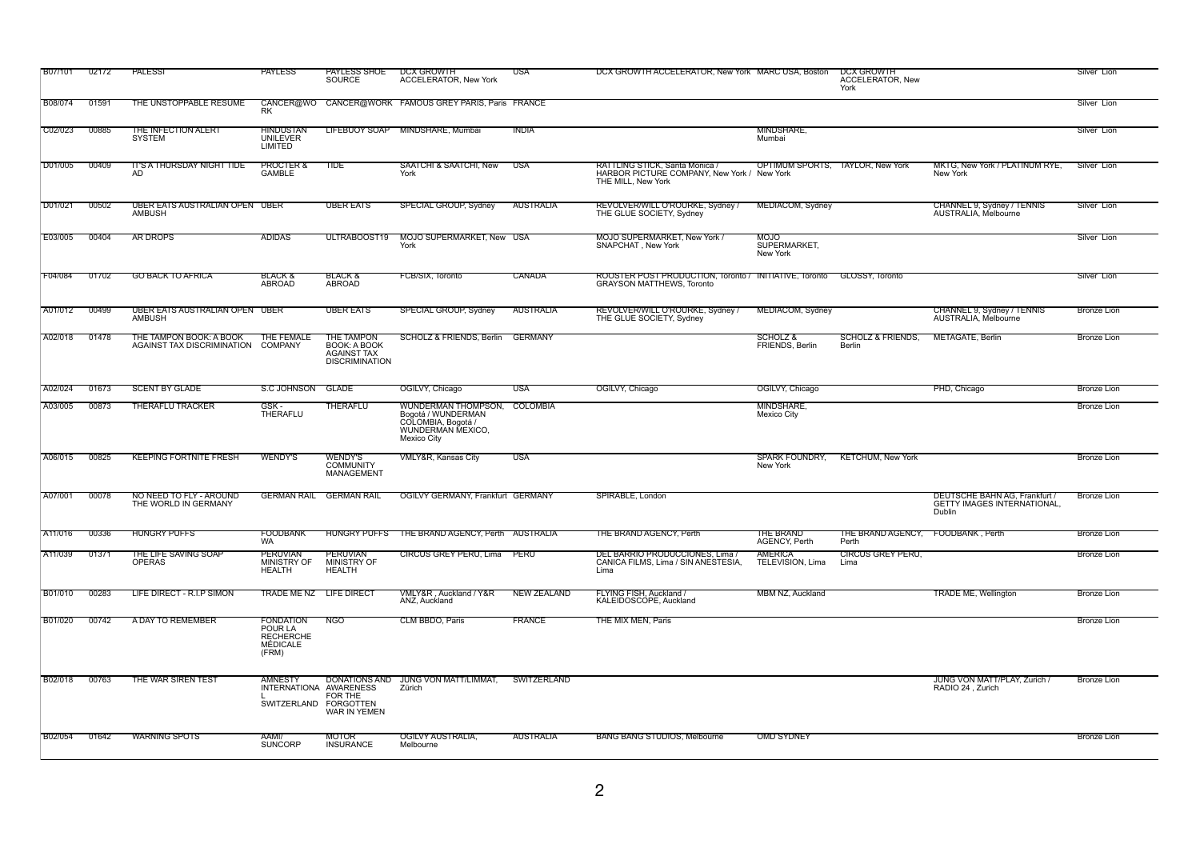| <b>B07/101</b>  | 02172 | PALESSI                                                       | <b>PAYLESS</b>                                                       | PAYLESS SHOE<br><b>SOURCE</b>                                                     | <b>DCX GROWTH</b><br><b>ACCELERATOR, New York</b>                                                            | USA                | DCX GROWTH ACCELERATOR, New York MARC USA, Boston                                                   |                                    | DCX GROWTH<br><b>ACCELERATOR, New</b><br>York |                                                                               | Silver Lion        |
|-----------------|-------|---------------------------------------------------------------|----------------------------------------------------------------------|-----------------------------------------------------------------------------------|--------------------------------------------------------------------------------------------------------------|--------------------|-----------------------------------------------------------------------------------------------------|------------------------------------|-----------------------------------------------|-------------------------------------------------------------------------------|--------------------|
| <b>B08/074</b>  | 01591 | THE UNSTOPPABLE RESUME                                        | <b>RK</b>                                                            |                                                                                   | CANCER@WO CANCER@WORK FAMOUS GREY PARIS, Paris FRANCE                                                        |                    |                                                                                                     |                                    |                                               |                                                                               | Silver Lion        |
| $\vert$ C02/023 | 00885 | THE INFECTION ALERT<br><b>SYSTEM</b>                          | <b>HINDUSTAN</b><br><b>UNILEVER</b><br>LIMITED                       |                                                                                   | LIFEBUOY SOAP MINDSHARE, Mumbai                                                                              | <b>INDIA</b>       |                                                                                                     | MINDSHARE,<br>Mumbai               |                                               |                                                                               | Silver Lion        |
| D01/005         | 00409 | <u>IT'S A THURSDAY NIGHT TIDE</u><br>AD                       | PROCTER &<br><b>GAMBLE</b>                                           | TIDE                                                                              | SAATCHI & SAATCHI, New<br>York                                                                               | USA                | RATTLING STICK, Santa Monica /<br>HARBOR PICTURE COMPANY, New York / New York<br>THE MILL, New York |                                    | <b>OPTIMUM SPORTS, TAYLOR, New York</b>       | MKTG, New York / PLATINUM RYE,<br>New York                                    | Silver Lion        |
| D01/021         | 00502 | UBER EATS AUSTRALIAN OPEN UBER<br><b>AMBUSH</b>               |                                                                      | <b>UBER EATS</b>                                                                  | <b>SPECIAL GROUP, Sydney</b>                                                                                 | AUSTRALIA          | REVOLVER/WILL O'ROURKE, Sydney /<br>THE GLUE SOCIETY, Sydney                                        | MEDIACOM, Sydney                   |                                               | CHANNEL 9, Sydney / TENNIS<br>AUSTRALIA. Melbourne                            | Silver Lion        |
| E03/005         | 00404 | <b>AR DROPS</b>                                               | <b>ADIDAS</b>                                                        | ULTRABOOST19                                                                      | MOJO SUPERMARKET, New USA<br>York                                                                            |                    | <b>MOJO SUPERMARKET, New York /</b><br>SNAPCHAT, New York                                           | MOJO<br>SUPERMARKET,<br>New York   |                                               |                                                                               | Silver Lion        |
| F04/084         | 01702 | <b>GO BACK TO AFRICA</b>                                      | BLACK &<br>ABROAD                                                    | <b>BLACK &amp;</b><br>ABROAD                                                      | FCB/SIX, Toronto                                                                                             | CANADA             | ROOSTER POST PRODUCTION, Toronto / INITIATIVE, Toronto<br><b>GRAYSON MATTHEWS, Toronto</b>          |                                    | GLOSSY, Toronto                               |                                                                               | Silver Lion        |
| A01/012         | 00499 | UBER EATS AUSTRALIAN OPEN UBER<br><b>AMBUSH</b>               |                                                                      | <b>UBER EATS</b>                                                                  | <b>SPECIAL GROUP, Sydney</b>                                                                                 | AUSTRALIA          | REVOLVER/WILL O'ROURKE, Sydney /<br>THE GLUE SOCIETY, Sydney                                        | MEDIACOM, Sydney                   |                                               | CHANNEL 9, Sydney / TENNIS<br>AUSTRALIA. Melbourne                            | <b>Bronze Lion</b> |
| A02/018         | 01478 | THE TAMPON BOOK: A BOOK<br>AGAINST TAX DISCRIMINATION COMPANY | THE FEMALE                                                           | THE TAMPON<br>BOOK: A BOOK<br><b>AGAINST TAX</b><br><b>DISCRIMINATION</b>         | SCHOLZ & FRIENDS, Berlin                                                                                     | GERMANY            |                                                                                                     | SCHOLZ &<br>FRIENDS, Berlin        | <b>SCHOLZ &amp; FRIENDS.</b><br>Berlin        | METAGATE, Berlin                                                              | <b>Bronze Lion</b> |
| A02/024         | 01673 | <b>SCENT BY GLADE</b>                                         | S.C JOHNSON                                                          | <b>GLADE</b>                                                                      | OGILVY, Chicago                                                                                              | <b>USA</b>         | OGILVY, Chicago                                                                                     | OGILVY, Chicago                    |                                               | PHD. Chicago                                                                  | Bronze Lion        |
| A03/005         | 00873 | <b>THERAFLU TRACKER</b>                                       | GSK-<br>THERAFLU                                                     | THERAFLU                                                                          | WUNDERMAN THOMPSON, COLOMBIA<br>Bogotá / WUNDERMAN<br>COLOMBIA, Bogotá /<br>WUNDERMAN MEXICO,<br>Mexico City |                    |                                                                                                     | MINDSHARE,<br>Mexico City          |                                               |                                                                               | <b>Bronze Lion</b> |
| A06/015         | 00825 | <b>KEEPING FORTNITE FRESH</b>                                 | <b>WENDY'S</b>                                                       | WENDY'S<br><b>COMMUNITY</b><br>MANAGEMENT                                         | <b>VMLY&amp;R, Kansas City</b>                                                                               | <b>USA</b>         |                                                                                                     | <b>SPARK FOUNDRY,</b><br>New York  | <b>KETCHUM, New York</b>                      |                                                                               | <b>Bronze Lion</b> |
| A07/001         | 00078 | NO NEED TO FLY - AROUND<br>THE WORLD IN GERMANY               |                                                                      | <b>GERMAN RAIL GERMAN RAIL</b>                                                    | OGILVY GERMANY, Frankfurt GERMANY                                                                            |                    | SPIRABLE, London                                                                                    |                                    |                                               | DEUTSCHE BAHN AG, Frankfurt /<br><b>GETTY IMAGES INTERNATIONAL,</b><br>Dublin | <b>Bronze Lion</b> |
| A11/016         | 00336 | <b>HUNGRY PUFFS</b>                                           | <b>FOODBANK</b><br><b>WA</b>                                         | <b>HUNGRY PUFFS</b>                                                               | THE BRAND AGENCY, Perth AUSTRALIA                                                                            |                    | THE BRAND AGENCY, Perth                                                                             | THE BRAND<br>AGENCY, Perth         | THE BRAND AGENCY, FOODBANK, Perth<br>Perth    |                                                                               | <b>Bronze Lion</b> |
| A11/039         | 01371 | THE LIFE SAVING SOAP<br><b>OPERAS</b>                         | <b>PERUVIAN</b><br><b>MINISTRY OF</b><br><b>HEALTH</b>               | PERUVIAN<br><b>MINISTRY OF</b><br><b>HEALTH</b>                                   | CIRCUS GREY PERU, Lima                                                                                       | <b>PERU</b>        | DEL BARRIO PRODUCCIONES, Lima /<br>CANICA FILMS, Lima / SIN ANESTESIA,<br>Lima                      | <b>AMERICA</b><br>TELEVISION, Lima | <b>CIRCUS GREY PERU,</b><br>Lima              |                                                                               | <b>Bronze Lion</b> |
| <b>B01/010</b>  | 00283 | LIFE DIRECT - R.I.P SIMON                                     | TRADE ME NZ LIFE DIRECT                                              |                                                                                   | VMLY&R , Auckland / Y&R<br>ANZ, Auckland                                                                     | <b>NEW ZEALAND</b> | FLYING FISH, Auckland /<br>KALEIDOSCOPE, Auckland                                                   | <b>MBM NZ, Auckland</b>            |                                               | <b>TRADE ME, Wellington</b>                                                   | <b>Bronze Lion</b> |
| <b>B01/020</b>  | 00742 | A DAY TO REMEMBER                                             | <b>FONDATION</b><br>POUR LA<br><b>RECHERCHE</b><br>MÉDICALE<br>(FRM) | NGO                                                                               | CLM BBDO, Paris                                                                                              | <b>FRANCE</b>      | THE MIX MEN, Paris                                                                                  |                                    |                                               |                                                                               | <b>Bronze Lion</b> |
| B02/018         | 00763 | THE WAR SIREN TEST                                            | <b>AMNESTY</b>                                                       | INTERNATIONA AWARENESS<br>FOR THE<br>SWITZERLAND FORGOTTEN<br><b>WAR IN YEMEN</b> | DONATIONS AND JUNG VON MATT/LIMMAT,<br>Zürich                                                                | SWITZERLAND        |                                                                                                     |                                    |                                               | JUNG VON MATT/PLAY, Zurich /<br>RADIO 24, Zurich                              | <b>Bronze Lion</b> |
| <b>B02/054</b>  | 01642 | <b>WARNING SPOTS</b>                                          | AAMI/<br>SUNCORP                                                     | MOTOR<br><b>INSURANCE</b>                                                         | OGILVY AUSTRALIA,<br>Melbourne                                                                               | <b>AUSTRALIA</b>   | <b>BANG BANG STUDIOS, Melbourne</b>                                                                 | <b>OMD SYDNEY</b>                  |                                               |                                                                               | <b>Bronze Lion</b> |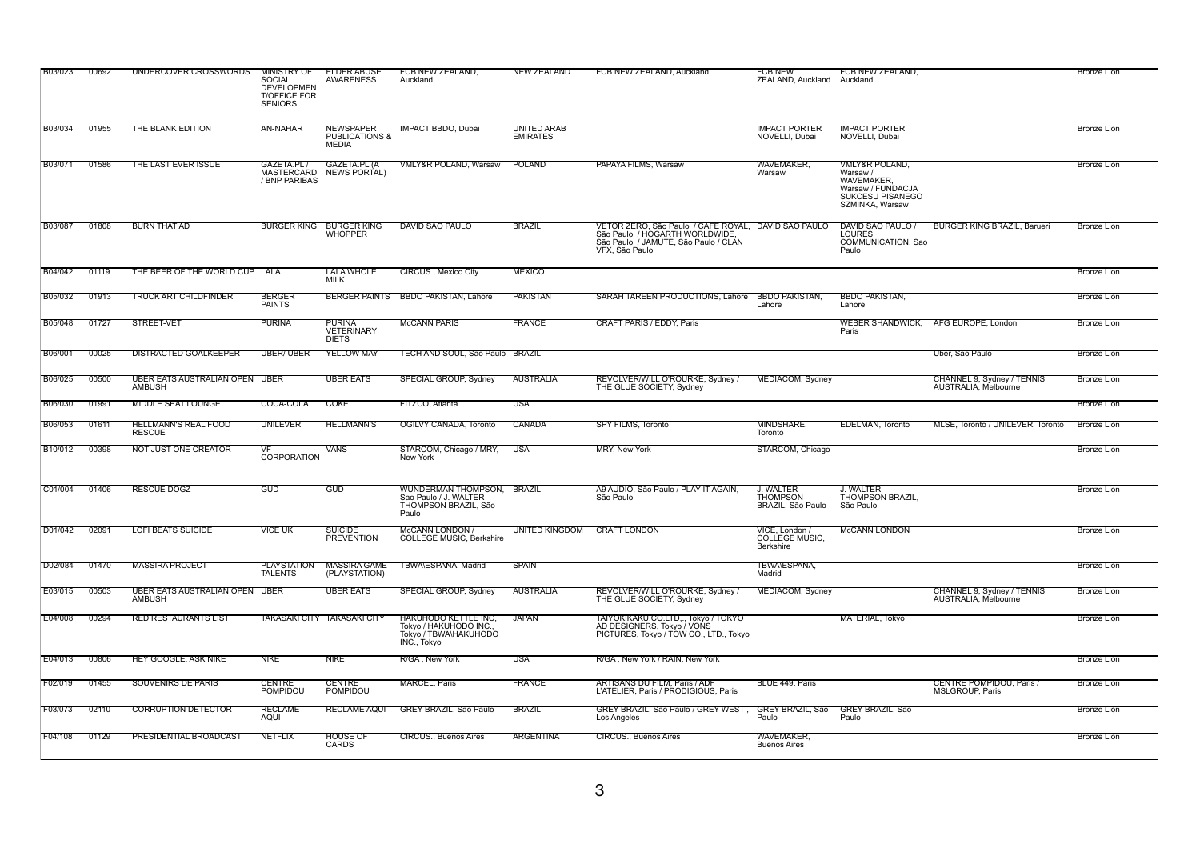| <b>B03/023</b> | 00692 | UNDERCOVER CROSSWORDS                           | <b>MINISTRY OF</b><br><b>SOCIAL</b><br><b>DEVELOPMEN</b><br><b>T/OFFICE FOR</b><br><b>SENIORS</b> | <b>ELDER ABUSE</b><br>AWARENESS                        | FCB NEW ZEALAND,<br>Auckland                                                           | <b>NEW ZEALAND</b>             | FCB NEW ZEALAND, Auckland                                                                                                                       | FCB NEW<br>ZEALAND, Auckland Auckland                    | FCB NEW ZEALAND.                                                                                                             |                                                    | <b>Bronze Lion</b> |
|----------------|-------|-------------------------------------------------|---------------------------------------------------------------------------------------------------|--------------------------------------------------------|----------------------------------------------------------------------------------------|--------------------------------|-------------------------------------------------------------------------------------------------------------------------------------------------|----------------------------------------------------------|------------------------------------------------------------------------------------------------------------------------------|----------------------------------------------------|--------------------|
| <b>B03/034</b> | 01955 | THE BLANK EDITION                               | AN-NAHAR                                                                                          | <b>NEWSPAPER</b><br><b>PUBLICATIONS &amp;</b><br>MEDIA | <b>IMPACT BBDO, Dubai</b>                                                              | UNITED ARAB<br><b>EMIRATES</b> |                                                                                                                                                 | <b>IMPACT PORTER</b><br>NOVELLI, Dubai                   | <b>IMPACT PORTER</b><br>NOVELLI, Dubai                                                                                       |                                                    | <b>Bronze Lion</b> |
| <b>B03/071</b> | 01586 | THE LAST EVER ISSUE                             | GAZETA.PL /<br>/ BNP PARIBAS                                                                      | GAZETA.PL (A<br>MASTERCARD NEWS PORTAL)                | VMLY&R POLAND, Warsaw                                                                  | POLAND                         | PAPAYA FILMS, Warsaw                                                                                                                            | WAVEMAKER,<br>Warsaw                                     | <b>VMLY&amp;R POLAND,</b><br>Warsaw /<br><b>WAVEMAKER</b><br>Warsaw / FUNDACJA<br><b>SUKCESU PISANEGO</b><br>SZMINKA, Warsaw |                                                    | <b>Bronze Lion</b> |
| <b>B03/087</b> | 01808 | <b>BURN THAT AD</b>                             |                                                                                                   | BURGER KING BURGER KING<br><b>WHOPPER</b>              | DAVID SAO PAULO                                                                        | <b>BRAZIL</b>                  | VETOR ZERO, São Paulo / CAFE ROYAL, DAVID SAO PAULO<br>São Paulo / HOGARTH WORLDWIDE,<br>São Paulo / JAMUTE, São Paulo / CLAN<br>VFX, São Paulo |                                                          | DAVID SAO PAULO /<br><b>LOURES</b><br>COMMUNICATION, Sao<br>Paulo                                                            | <b>BURGER KING BRAZIL, Barueri</b>                 | <b>Bronze Lion</b> |
| B04/042        | 01119 | THE BEER OF THE WORLD CUP LALA                  |                                                                                                   | <b>LALA WHOLE</b><br><b>MILK</b>                       | CIRCUS., Mexico City                                                                   | <b>MEXICO</b>                  |                                                                                                                                                 |                                                          |                                                                                                                              |                                                    | <b>Bronze Lion</b> |
| <b>B05/032</b> | 01913 | TRUCK ART CHILDFINDER                           | <b>BERGER</b><br><b>PAINTS</b>                                                                    |                                                        | BERGER PAINTS BBDO PAKISTAN, Lahore                                                    | <b>PAKISTAN</b>                | SARAH TAREEN PRODUCTIONS, Lahore BBDO PAKISTAN,                                                                                                 | Lahore                                                   | <b>BBDO PAKISTAN,</b><br>Lahore                                                                                              |                                                    | <b>Bronze Lion</b> |
| <b>B05/048</b> | 01727 | STREET-VET                                      | PURINA                                                                                            | PURINA<br><b>VETERINARY</b><br><b>DIETS</b>            | <b>MCCANN PARIS</b>                                                                    | FRANCE                         | <b>CRAFT PARIS / EDDY, Paris</b>                                                                                                                |                                                          | Paris                                                                                                                        | WEBER SHANDWICK, AFG EUROPE, London                | <b>Bronze Lion</b> |
| <b>B06/001</b> | 00025 | DISTRACTED GOALKEEPER                           | <b>UBER/UBER</b>                                                                                  | <b>YELLOW MAY</b>                                      | TECH AND SOUL, São Paulo BRAZIL                                                        |                                |                                                                                                                                                 |                                                          |                                                                                                                              | Uber, São Paulo                                    | <b>Bronze Lion</b> |
| <b>B06/025</b> | 00500 | UBER EATS AUSTRALIAN OPEN UBER<br>AMBUSH        |                                                                                                   | <b>UBER EATS</b>                                       | <b>SPECIAL GROUP, Sydney</b>                                                           | <b>AUSTRALIA</b>               | REVOLVER/WILL O'ROURKE, Sydney<br>THE GLUE SOCIETY, Sydney                                                                                      | MEDIACOM, Sydney                                         |                                                                                                                              | CHANNEL 9, Sydney / TENNIS<br>AUSTRALIA. Melbourne | <b>Bronze</b> Lion |
| <b>B06/030</b> | 01991 | <b>MIDDLE SEAT LOUNGE</b>                       | COCA-COLA                                                                                         | <b>COKE</b>                                            | FITZCO, Atlanta                                                                        | USA                            |                                                                                                                                                 |                                                          |                                                                                                                              |                                                    | <b>Bronze Lion</b> |
| B06/053        | 01611 | <b>HELLMANN'S REAL FOOD</b><br><b>RESCUE</b>    | UNILEVER                                                                                          | <b>HELLMANN'S</b>                                      | OGILVY CANADA, Toronto                                                                 | <b>CANADA</b>                  | <b>SPY FILMS, Toronto</b>                                                                                                                       | MINDSHARE,<br>Toronto                                    | <b>EDELMAN, Toronto</b>                                                                                                      | MLSE, Toronto / UNILEVER, Toronto                  | <b>Bronze Lion</b> |
| B10/012        | 00398 | NOT JUST ONE CREATOR                            | VF<br>CORPORATION                                                                                 | VANS                                                   | STARCOM, Chicago / MRY,<br>New York                                                    | <b>USA</b>                     | <b>MRY, New York</b>                                                                                                                            | STARCOM, Chicago                                         |                                                                                                                              |                                                    | <b>Bronze Lion</b> |
| C01/004        | 01406 | <b>RESCUE DOGZ</b>                              | <b>GUD</b>                                                                                        | <b>GUD</b>                                             | WUNDERMAN THOMPSON, BRAZIL<br>Sao Paulo / J. WALTER<br>THOMPSON BRAZIL, São<br>Paulo   |                                | A9 AUDIO, São Paulo / PLAY IT AGAIN,<br>São Paulo                                                                                               | <b>J. WALTER</b><br><b>THOMPSON</b><br>BRAZIL, São Paulo | J. WALTER<br>THOMPSON BRAZIL,<br>São Paulo                                                                                   |                                                    | <b>Bronze Lion</b> |
| D01/042        | 02091 | <b>LOFI BEATS SUICIDE</b>                       | <b>VICE UK</b>                                                                                    | <b>SUICIDE</b><br><b>PREVENTION</b>                    | <b>McCANN LONDON /</b><br><b>COLLEGE MUSIC, Berkshire</b>                              | UNITED KINGDOM                 | <b>CRAFT LONDON</b>                                                                                                                             | VICE, London /<br>COLLEGE MUSIC,<br><b>Berkshire</b>     | <b>McCANN LONDON</b>                                                                                                         |                                                    | Bronze Lion        |
| D02/084        | 01470 | <b>MASSIRA PROJECT</b>                          | PLAYSTATION<br><b>TALENTS</b>                                                                     | MASSIRA GAME<br>(PLAYSTATION)                          | TBWA\ESPANA, Madrid                                                                    | <b>SPAIN</b>                   |                                                                                                                                                 | TBWA\ESPANA.<br>Madrid                                   |                                                                                                                              |                                                    | <b>Bronze Lion</b> |
| E03/015        | 00503 | UBER EATS AUSTRALIAN OPEN UBER<br><b>AMBUSH</b> |                                                                                                   | <b>UBER EATS</b>                                       | <b>SPECIAL GROUP, Sydney</b>                                                           | <b>AUSTRALIA</b>               | REVOLVER/WILL O'ROURKE, Sydney<br>THE GLUE SOCIETY, Sydney                                                                                      | MEDIACOM, Sydney                                         |                                                                                                                              | CHANNEL 9, Sydney / TENNIS<br>AUSTRALIA, Melbourne | <b>Bronze Lion</b> |
| E04/008        | 00294 | <b>RED RESTAURANTS LIST</b>                     |                                                                                                   | TAKASAKI CITY TAKASAKI CITY                            | HAKUHODO KETTLE INC,<br>Tokyo / HAKUHODO INC.,<br>Tokyo / TBWA\HAKUHODO<br>INC., Tokyo | <b>JAPAN</b>                   | TAIYOKIKAKU.CO.LTD,., Tokyo / TOKYO<br>AD DESIGNERS, Tokyo / VONS<br>PICTURES, Tokyo / TOW CO., LTD., Tokyo                                     |                                                          | MATERIAL, Tokyo                                                                                                              |                                                    | <b>Bronze Lion</b> |
| E04/013        | 00806 | <b>HEY GOOGLE, ASK NIKE</b>                     | NIKE                                                                                              | <b>NIKE</b>                                            | R/GA, New York                                                                         | USA                            | R/GA, New York / RAIN, New York                                                                                                                 |                                                          |                                                                                                                              |                                                    | <b>Bronze Lion</b> |
| F02/019        | 01455 | <b>SOUVENIRS DE PARIS</b>                       | <b>CENTRE</b><br><b>POMPIDOU</b>                                                                  | <b>CENTRE</b><br>POMPIDOU                              | <b>MARCEL, Paris</b>                                                                   | <b>FRANCE</b>                  | <b>ARTISANS DU FILM, Paris / ADF</b><br>L'ATELIER, Paris / PRODIGIOUS, Paris                                                                    | BLUE 449, Paris                                          |                                                                                                                              | CENTRE POMPIDOU, Paris /<br>MSLGROUP, Paris        | <b>Bronze Lion</b> |
| F03/073        | 02110 | <b>CORRUPTION DETECTOR</b>                      | <b>RECLAME</b><br>aqui                                                                            | <b>RECLAME AQUI</b>                                    | <b>GREY BRAZIL, São Paulo</b>                                                          | <b>BRAZIL</b>                  | <b>GREY BRAZIL, São Paulo / GREY WEST</b><br>Los Angeles                                                                                        | GREY BRAZIL, São<br>Paulo                                | <b>GREY BRAZIL, São</b><br>Paulo                                                                                             |                                                    | <b>Bronze Lion</b> |
| F04/108        | 01129 | <b>PRESIDENTIAL BROADCAST</b>                   | <b>NETFLIX</b>                                                                                    | HOUSE OF<br>CARDS                                      | <b>CIRCUS., Buenos Aires</b>                                                           | <b>ARGENTINA</b>               | <b>CIRCUS., Buenos Aires</b>                                                                                                                    | WAVEMAKER,<br><b>Buenos Aires</b>                        |                                                                                                                              |                                                    | <b>Bronze Lion</b> |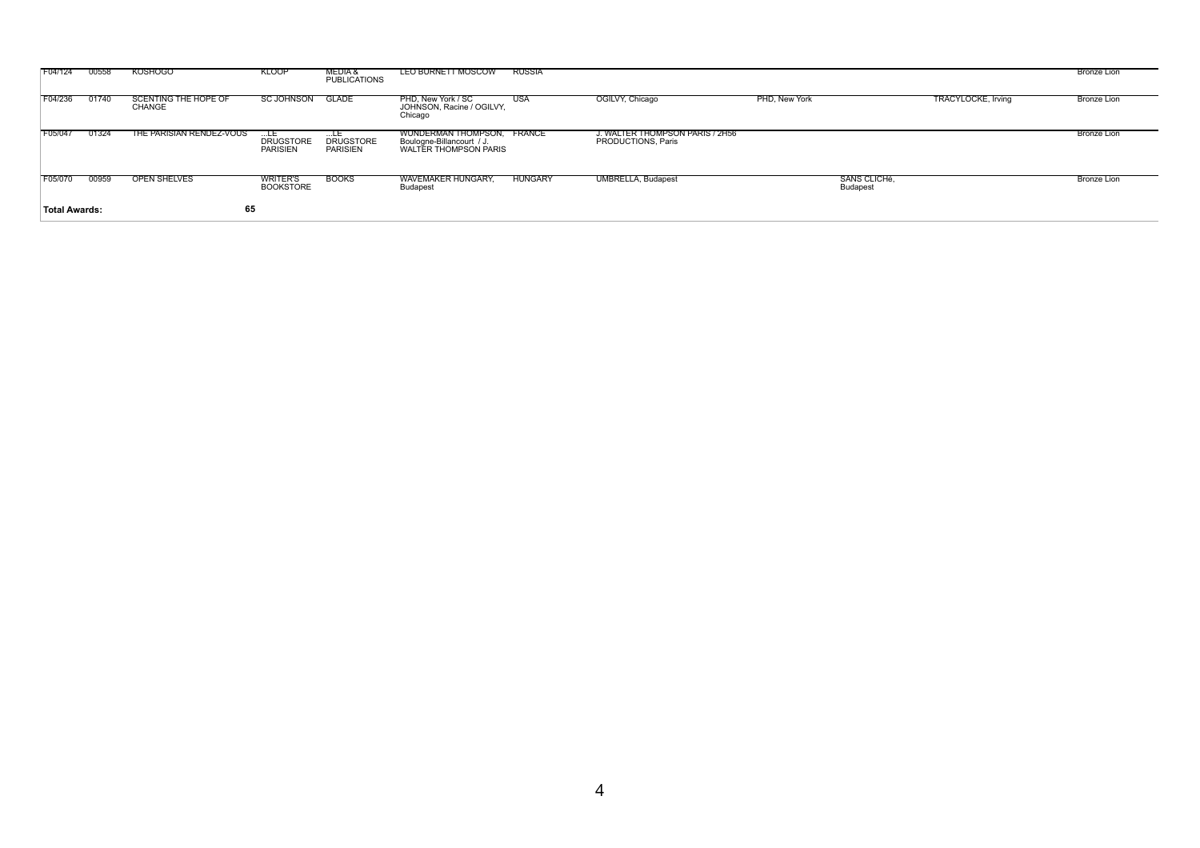| F04/124              | 00558 | <b>KOSHOGO</b>                 | <b>KLOOP</b>                        | MEDIA &<br>PUBLICATIONS             | LEO BURNETT MOSCOW                                                               | RUSSIA         |                                                       |               |                                 |                    | Bronze Lion        |
|----------------------|-------|--------------------------------|-------------------------------------|-------------------------------------|----------------------------------------------------------------------------------|----------------|-------------------------------------------------------|---------------|---------------------------------|--------------------|--------------------|
| F04/236              | 01740 | SCENTING THE HOPE OF<br>CHANGE | SC JOHNSON GLADE                    |                                     | PHD. New York / SC<br>JOHNSON, Racine / OGILVY,<br>Chicago                       | USA            | OGILVY, Chicago                                       | PHD, New York |                                 | TRACYLOCKE, Irving | <b>Bronze Lion</b> |
| F05/047              | 01324 | THE PARISIAN RENDEZ-VOUS       | <b>DRUGSTORE</b><br>PARISIEN        | <b>DRUGSTORE</b><br><b>PARISIEN</b> | WUNDERMAN THOMPSON, FRANCE<br>Boulogne-Billancourt / J.<br>WALTER THOMPSON PARIS |                | J. WALTER THOMPSON PARIS / 2H56<br>PRODUCTIONS, Paris |               |                                 |                    | Bronze Lion        |
| F05/070              | 00959 | <b>OPEN SHELVES</b>            | <b>WRITER'S</b><br><b>BOOKSTORE</b> | <b>BOOKS</b>                        | <b>WAVEMAKER HUNGARY,</b><br>Budapest                                            | <b>HUNGARY</b> | <b>UMBRELLA, Budapest</b>                             |               | SANS CLICHé,<br><b>Budapest</b> |                    | Bronze Lion        |
| <b>Total Awards:</b> |       | 65                             |                                     |                                     |                                                                                  |                |                                                       |               |                                 |                    |                    |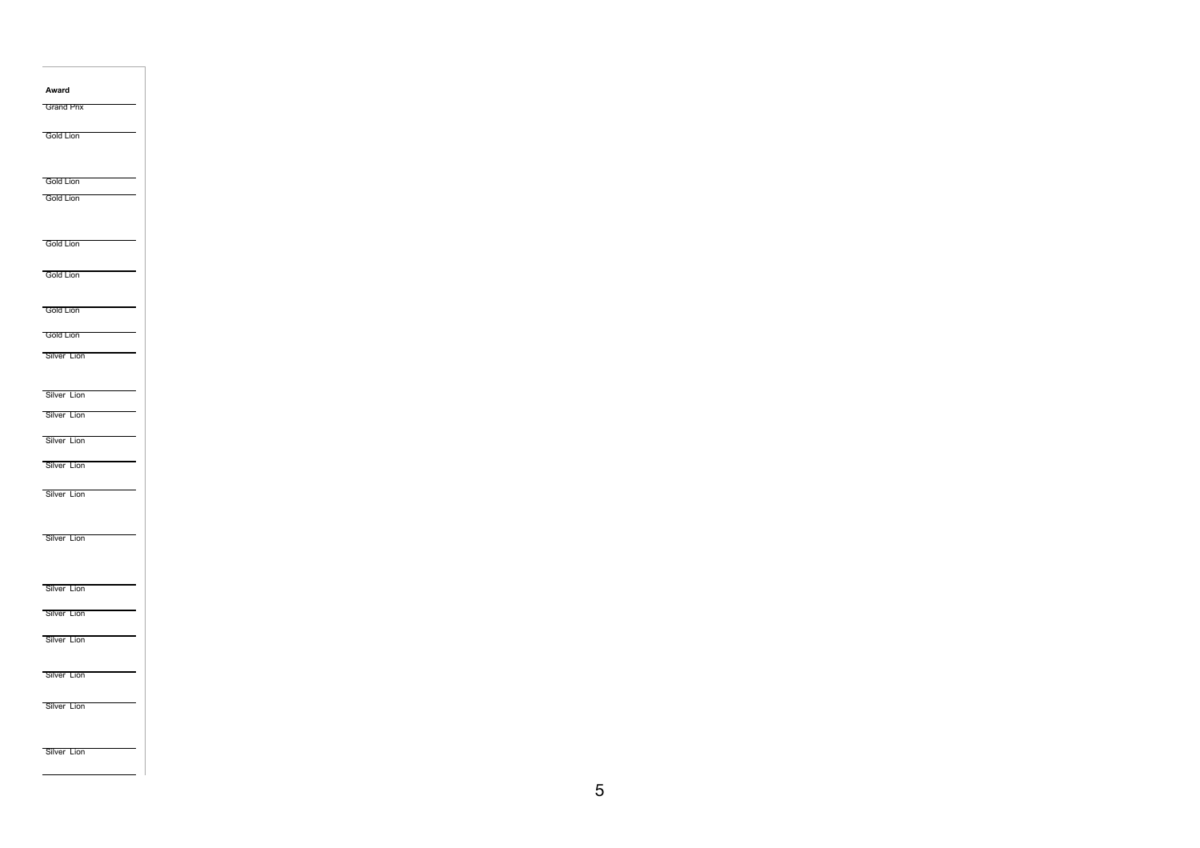| Award             |  |  |  |
|-------------------|--|--|--|
| <b>Grand Prix</b> |  |  |  |
|                   |  |  |  |
| <b>Gold Lion</b>  |  |  |  |
|                   |  |  |  |
|                   |  |  |  |
| <b>Gold Lion</b>  |  |  |  |
| <b>Gold Lion</b>  |  |  |  |
|                   |  |  |  |
| <b>Gold Lion</b>  |  |  |  |
|                   |  |  |  |
| <b>Gold Lion</b>  |  |  |  |
|                   |  |  |  |
| <b>Gold Lion</b>  |  |  |  |
|                   |  |  |  |
| <b>Gold Lion</b>  |  |  |  |
| Silver Lion       |  |  |  |
|                   |  |  |  |
| Silver Lion       |  |  |  |
| Silver Lion       |  |  |  |
|                   |  |  |  |
| Silver Lion       |  |  |  |
| Silver Lion       |  |  |  |
|                   |  |  |  |
| Silver Lion       |  |  |  |
|                   |  |  |  |
|                   |  |  |  |
| Silver Lion       |  |  |  |
|                   |  |  |  |
| Silver Lion       |  |  |  |
|                   |  |  |  |
| Silver Lion       |  |  |  |
| Silver Lion       |  |  |  |
|                   |  |  |  |
| Silver Lion       |  |  |  |
|                   |  |  |  |
| Silver Lion       |  |  |  |
|                   |  |  |  |
|                   |  |  |  |
| Silver Lion       |  |  |  |
|                   |  |  |  |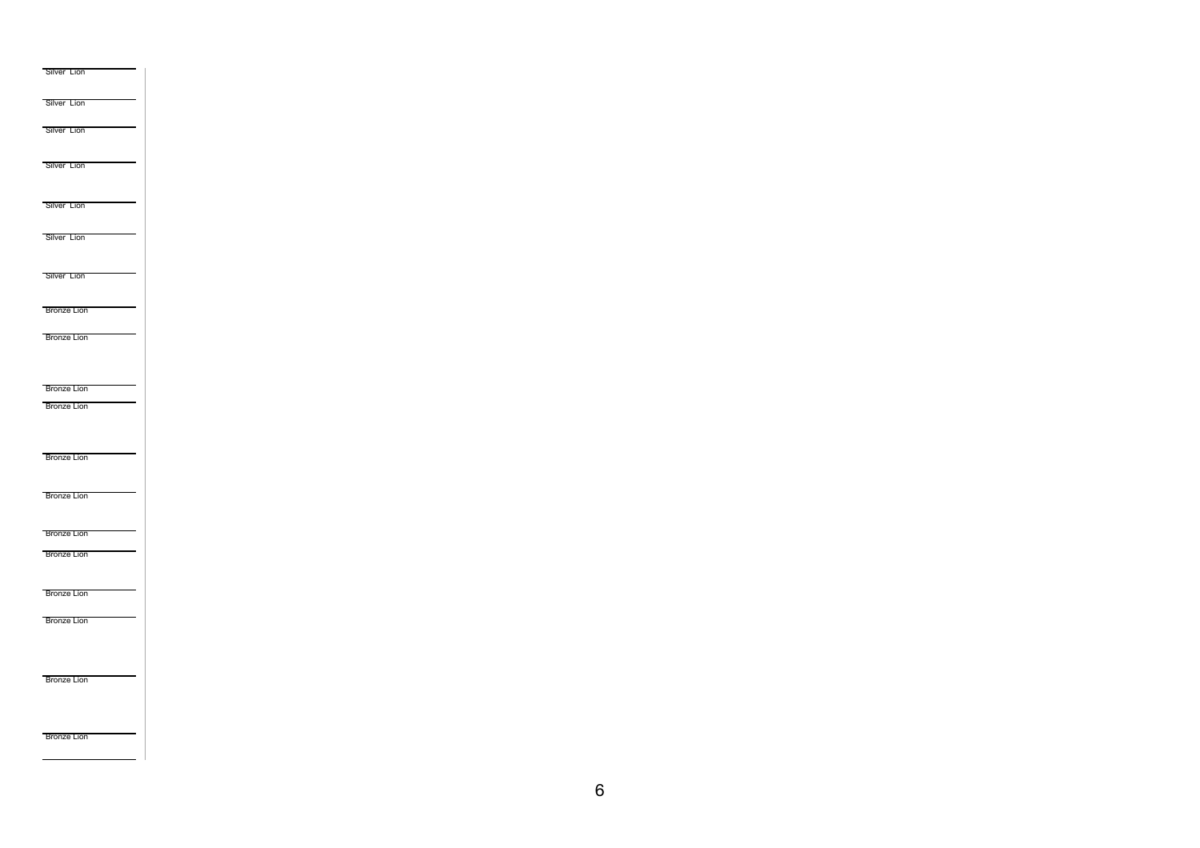| Silver Lion        |  |  |  |
|--------------------|--|--|--|
| Silver Lion        |  |  |  |
|                    |  |  |  |
| Silver Lion        |  |  |  |
|                    |  |  |  |
| Silver Lion        |  |  |  |
|                    |  |  |  |
| Silver Lion        |  |  |  |
|                    |  |  |  |
| Silver Lion        |  |  |  |
|                    |  |  |  |
| Silver Lion        |  |  |  |
|                    |  |  |  |
| <b>Bronze Lion</b> |  |  |  |
| <b>Bronze Lion</b> |  |  |  |
|                    |  |  |  |
|                    |  |  |  |
| <b>Bronze Lion</b> |  |  |  |
| <b>Bronze Lion</b> |  |  |  |
|                    |  |  |  |
|                    |  |  |  |
| <b>Bronze Lion</b> |  |  |  |
|                    |  |  |  |
| <b>Bronze Lion</b> |  |  |  |
|                    |  |  |  |
| <b>Bronze Lion</b> |  |  |  |
| <b>Bronze Lion</b> |  |  |  |
|                    |  |  |  |
| <b>Bronze Lion</b> |  |  |  |
| <b>Bronze Lion</b> |  |  |  |
|                    |  |  |  |
|                    |  |  |  |
|                    |  |  |  |
| <b>Bronze Lion</b> |  |  |  |
|                    |  |  |  |
|                    |  |  |  |
| <b>Bronze Lion</b> |  |  |  |
|                    |  |  |  |

6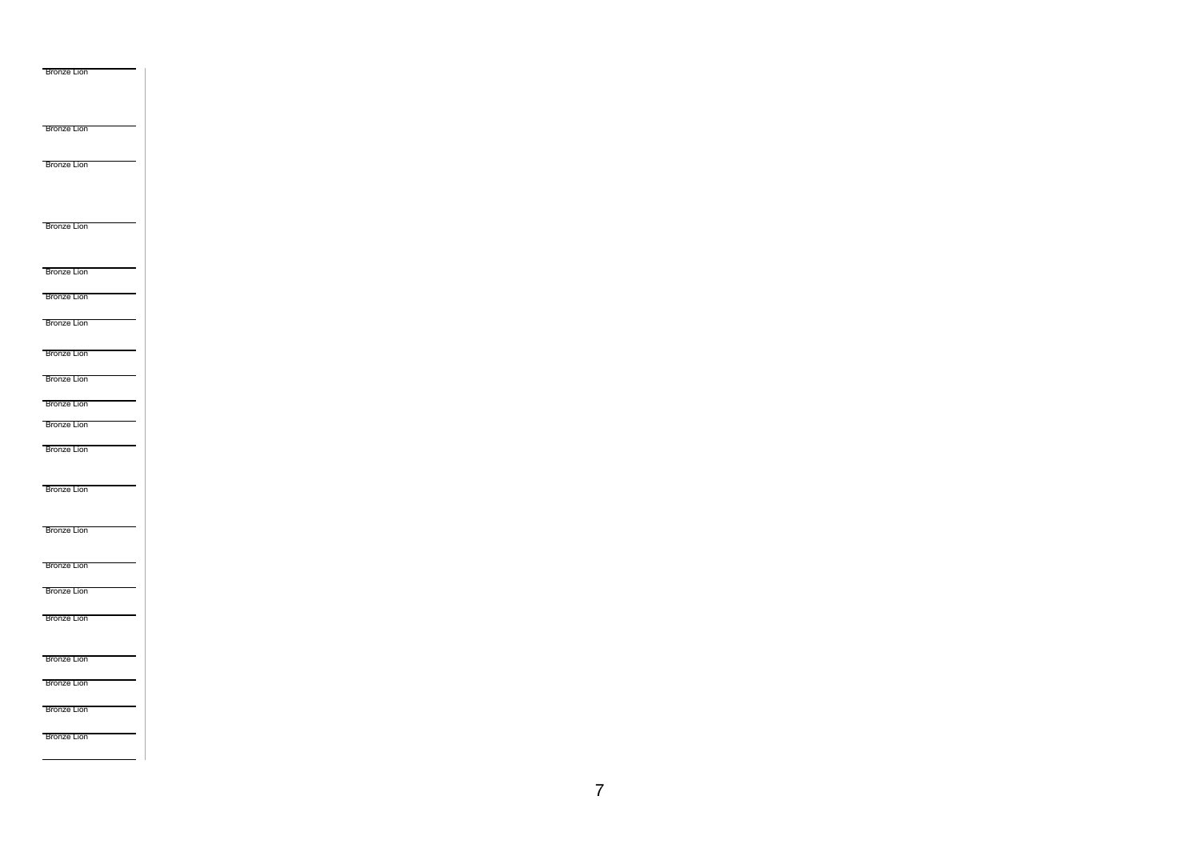| <b>Bronze Lion</b> |  |  |
|--------------------|--|--|
|                    |  |  |
|                    |  |  |
|                    |  |  |
| <b>Bronze Lion</b> |  |  |
|                    |  |  |
| <b>Bronze Lion</b> |  |  |
|                    |  |  |
|                    |  |  |
| <b>Bronze Lion</b> |  |  |
|                    |  |  |
|                    |  |  |
| <b>Bronze Lion</b> |  |  |
| <b>Bronze Lion</b> |  |  |
|                    |  |  |
| <b>Bronze Lion</b> |  |  |
| <b>Bronze Lion</b> |  |  |
|                    |  |  |
| <b>Bronze Lion</b> |  |  |
| <b>Bronze Lion</b> |  |  |
| <b>Bronze Lion</b> |  |  |
| <b>Bronze Lion</b> |  |  |
|                    |  |  |
|                    |  |  |
| <b>Bronze Lion</b> |  |  |
|                    |  |  |
| <b>Bronze Lion</b> |  |  |
|                    |  |  |
| <b>Bronze Lion</b> |  |  |
| <b>Bronze Lion</b> |  |  |
|                    |  |  |
| <b>Bronze Lion</b> |  |  |
|                    |  |  |
| <b>Bronze Lion</b> |  |  |
| <b>Bronze Lion</b> |  |  |
|                    |  |  |
| <b>Bronze Lion</b> |  |  |
| <b>Bronze Lion</b> |  |  |
|                    |  |  |